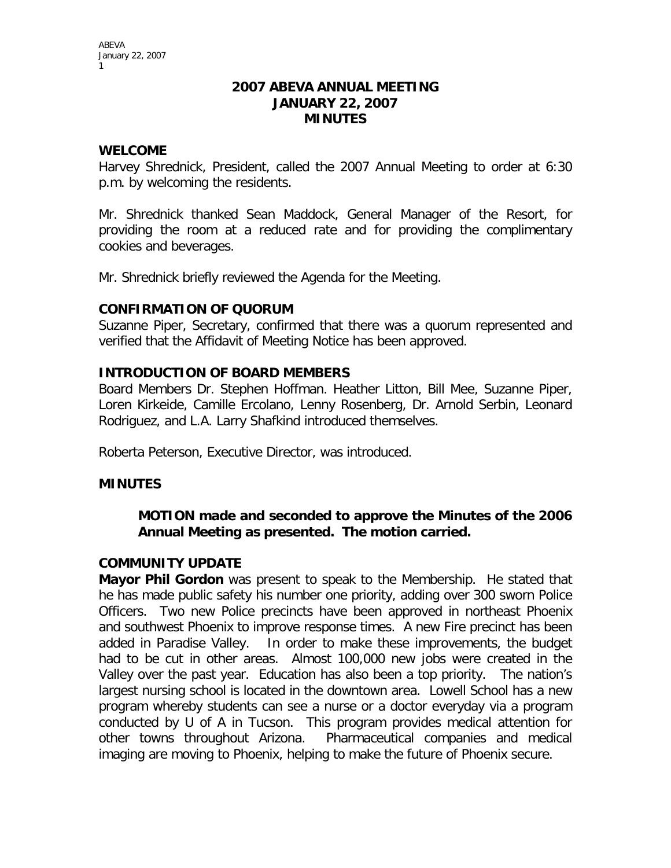#### **2007 ABEVA ANNUAL MEETING JANUARY 22, 2007 MINUTES**

### **WELCOME**

Harvey Shrednick, President, called the 2007 Annual Meeting to order at 6:30 p.m. by welcoming the residents.

Mr. Shrednick thanked Sean Maddock, General Manager of the Resort, for providing the room at a reduced rate and for providing the complimentary cookies and beverages.

Mr. Shrednick briefly reviewed the Agenda for the Meeting.

### **CONFIRMATION OF QUORUM**

Suzanne Piper, Secretary, confirmed that there was a quorum represented and verified that the Affidavit of Meeting Notice has been approved.

### **INTRODUCTION OF BOARD MEMBERS**

Board Members Dr. Stephen Hoffman. Heather Litton, Bill Mee, Suzanne Piper, Loren Kirkeide, Camille Ercolano, Lenny Rosenberg, Dr. Arnold Serbin, Leonard Rodriguez, and L.A. Larry Shafkind introduced themselves.

Roberta Peterson, Executive Director, was introduced.

# **MINUTES**

# **MOTION made and seconded to approve the Minutes of the 2006 Annual Meeting as presented. The motion carried.**

#### **COMMUNITY UPDATE**

**Mayor Phil Gordon** was present to speak to the Membership. He stated that he has made public safety his number one priority, adding over 300 sworn Police Officers. Two new Police precincts have been approved in northeast Phoenix and southwest Phoenix to improve response times. A new Fire precinct has been added in Paradise Valley. In order to make these improvements, the budget had to be cut in other areas. Almost 100,000 new jobs were created in the Valley over the past year. Education has also been a top priority. The nation's largest nursing school is located in the downtown area. Lowell School has a new program whereby students can see a nurse or a doctor everyday via a program conducted by U of A in Tucson. This program provides medical attention for other towns throughout Arizona. Pharmaceutical companies and medical imaging are moving to Phoenix, helping to make the future of Phoenix secure.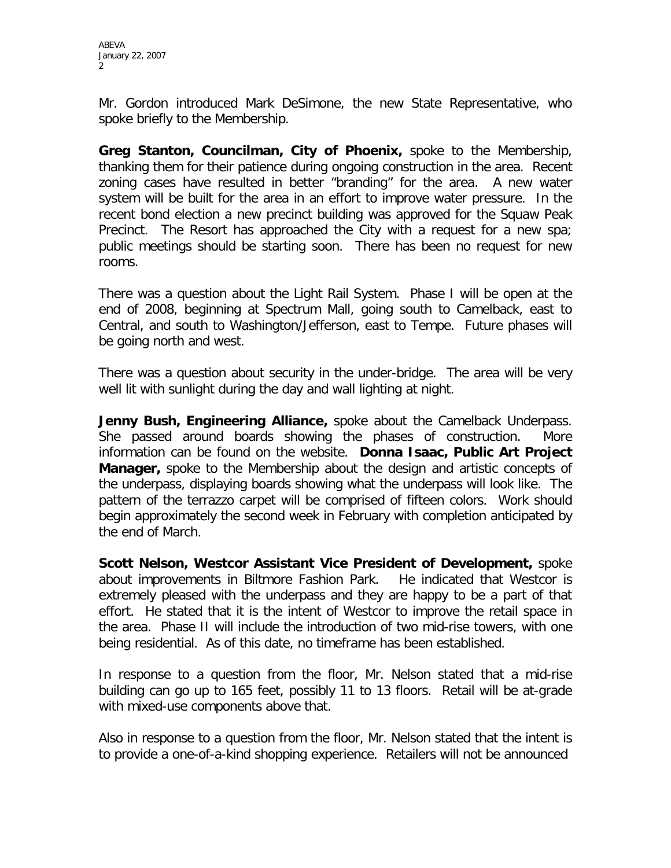Mr. Gordon introduced Mark DeSimone, the new State Representative, who spoke briefly to the Membership.

**Greg Stanton, Councilman, City of Phoenix,** spoke to the Membership, thanking them for their patience during ongoing construction in the area. Recent zoning cases have resulted in better "branding" for the area. A new water system will be built for the area in an effort to improve water pressure. In the recent bond election a new precinct building was approved for the Squaw Peak Precinct. The Resort has approached the City with a request for a new spa; public meetings should be starting soon. There has been no request for new rooms.

There was a question about the Light Rail System. Phase I will be open at the end of 2008, beginning at Spectrum Mall, going south to Camelback, east to Central, and south to Washington/Jefferson, east to Tempe. Future phases will be going north and west.

There was a question about security in the under-bridge. The area will be very well lit with sunlight during the day and wall lighting at night.

**Jenny Bush, Engineering Alliance,** spoke about the Camelback Underpass. She passed around boards showing the phases of construction. More information can be found on the website. **Donna Isaac, Public Art Project Manager,** spoke to the Membership about the design and artistic concepts of the underpass, displaying boards showing what the underpass will look like. The pattern of the terrazzo carpet will be comprised of fifteen colors. Work should begin approximately the second week in February with completion anticipated by the end of March.

**Scott Nelson, Westcor Assistant Vice President of Development,** spoke about improvements in Biltmore Fashion Park. He indicated that Westcor is extremely pleased with the underpass and they are happy to be a part of that effort. He stated that it is the intent of Westcor to improve the retail space in the area. Phase II will include the introduction of two mid-rise towers, with one being residential. As of this date, no timeframe has been established.

In response to a question from the floor, Mr. Nelson stated that a mid-rise building can go up to 165 feet, possibly 11 to 13 floors. Retail will be at-grade with mixed-use components above that.

Also in response to a question from the floor, Mr. Nelson stated that the intent is to provide a one-of-a-kind shopping experience. Retailers will not be announced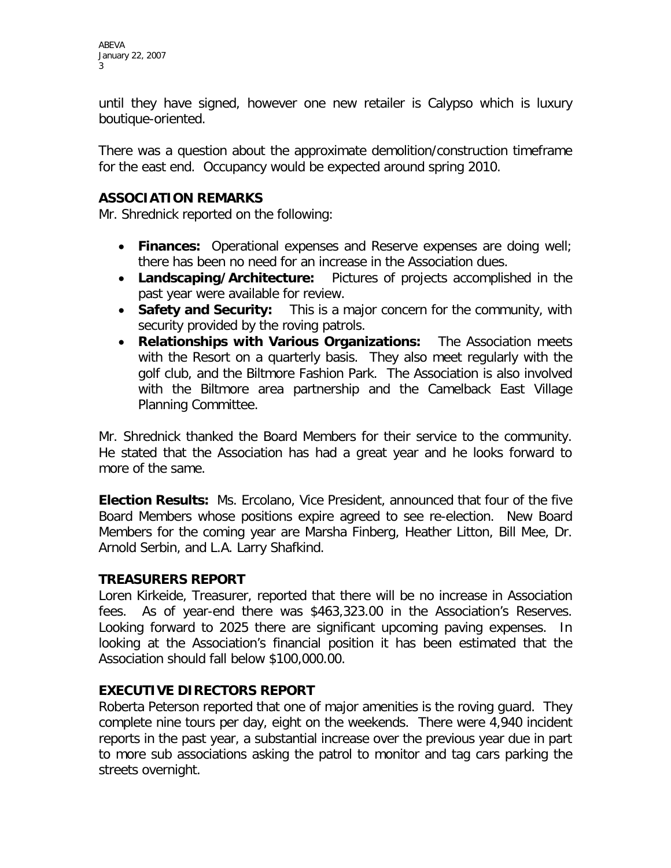until they have signed, however one new retailer is Calypso which is luxury boutique-oriented.

There was a question about the approximate demolition/construction timeframe for the east end. Occupancy would be expected around spring 2010.

#### **ASSOCIATION REMARKS**

Mr. Shrednick reported on the following:

- **Finances:** Operational expenses and Reserve expenses are doing well; there has been no need for an increase in the Association dues.
- **Landscaping/Architecture:** Pictures of projects accomplished in the past year were available for review.
- **Safety and Security:** This is a major concern for the community, with security provided by the roving patrols.
- **Relationships with Various Organizations:** The Association meets with the Resort on a quarterly basis. They also meet regularly with the golf club, and the Biltmore Fashion Park. The Association is also involved with the Biltmore area partnership and the Camelback East Village Planning Committee.

Mr. Shrednick thanked the Board Members for their service to the community. He stated that the Association has had a great year and he looks forward to more of the same.

**Election Results:** Ms. Ercolano, Vice President, announced that four of the five Board Members whose positions expire agreed to see re-election. New Board Members for the coming year are Marsha Finberg, Heather Litton, Bill Mee, Dr. Arnold Serbin, and L.A. Larry Shafkind.

#### **TREASURERS REPORT**

Loren Kirkeide, Treasurer, reported that there will be no increase in Association fees. As of year-end there was \$463,323.00 in the Association's Reserves. Looking forward to 2025 there are significant upcoming paving expenses. In looking at the Association's financial position it has been estimated that the Association should fall below \$100,000.00.

#### **EXECUTIVE DIRECTORS REPORT**

Roberta Peterson reported that one of major amenities is the roving guard. They complete nine tours per day, eight on the weekends. There were 4,940 incident reports in the past year, a substantial increase over the previous year due in part to more sub associations asking the patrol to monitor and tag cars parking the streets overnight.